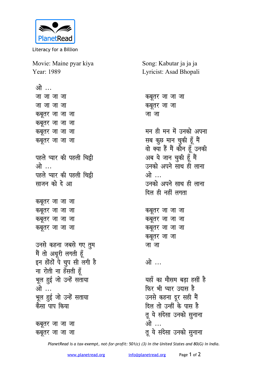

Literacy for a Billion

Movie: Maine pyar kiya Year: 1989

ओ ... <u>जा</u> जा जा <u>जा जा जा</u> *क*बूतर जा जा जा *कबूतर जा जा जा कबूतर जा जा जा कबूतर जा जा जा* **पहले प्यार की पहली चिट्ठी \भो पहले प्यार की पहली चिट्ठी** <u>साजन को दे आ</u> *क*बूतर जा जा जा *कबूतर जा जा जा क*बूतर जा जा जा *कबूतर जा जा जा* उनसे कहना जबसे गए <u>त</u>ुम मैं तो अधूरी लगती हूँ इन होंठों पे चुप सी लगी है <u>ना रोती ना हँसती हूँ</u> भूल हुई जो उन्हें सताया ओ … भूल हुई जो उन्हें सताया <u>केसा पाप किया</u>

*कबूतर जा जा जा क*बूतर जा जा जा Song: Kabutar ja ja ja Lyricist: Asad Bhopali

*कबूतर जा जा जा क*बूतर जा जा <u>जा</u>जा मन ही मन में उनको अपना सब कुछ मान चुकी हूँ मैं वो क्या हैं मैं कौन हूँ उनकी <u>.</u><br>अब ये जान चुकी हूँ मैं उनको अपने साथ ही लाना ओ ... उनको अपने साथ ही लाना <u>दिल ही नहीं लगता</u> *क*बूतर जा जा जा *कबूतर जा जा जा कबूतर जा जा जा क*बूतर जा जा <u>जा</u>जा <u>ओ …</u> <u>यहाँ का मौसम बड़ा हसीं है</u> **फिर भी प्यार उदास है** उनसे कहना दूर सही मैं <u>दिल तो उन्हीं के पास है</u> तू ये संदेसा उनको सुनाना <u>ओे ...</u> तू ये संदेसा उनको सुनाना

*PlanetRead is a tax-exempt, not-for-profit: 501(c) (3) in the United States and 80(G) in India.*